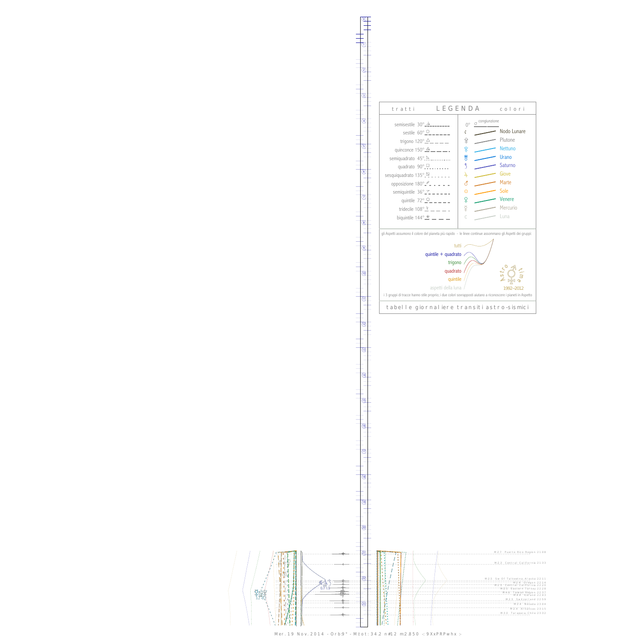$\breve{\mathrm{S}}$ 3.2 ➟